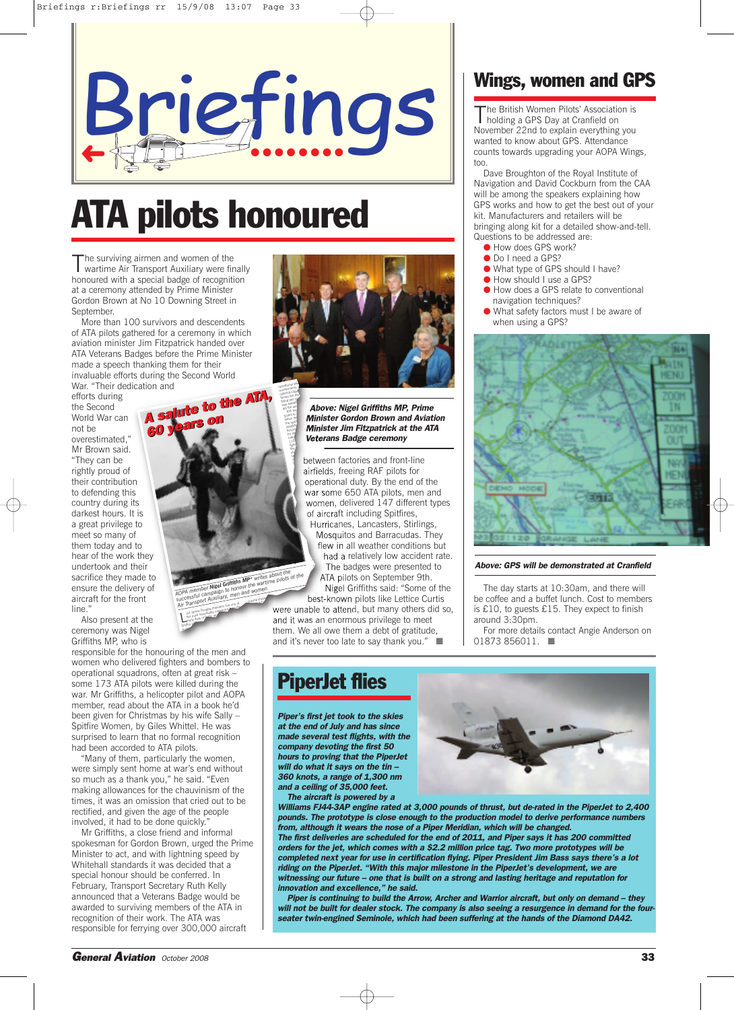

# **ATA pilots honoured**

The surviving airmen and women of the<br>wartime Air Transport Auxiliary were finally honoured with a special badge of recognition at a ceremony attended by Prime Minister Gordon Brown at No 10 Downing Street in September.

More than 100 survivors and descendents of ATA pilots gathered for a ceremony in which aviation minister Jim Fitzpatrick handed over ATA Veterans Badges before the Prime Minister made a speech thanking them for their invaluable efforts during the Second World

**years on**

War. "Their dedication and efforts during the Second World War can not be overestimated," Mr Brown said. "They can be rightly proud of their contribution to defending this country during its darkest hours. It is a great privilege to meet so many of them today and to hear of the work they undertook and their sacrifice they made to ensure the delivery of aircraft for the front line<sup>'</sup> **AA s salute to the ATA, 60 <sup>60</sup> years on**

Also present at the ceremony was Nigel Griffiths MP, who is

responsible for the honouring of the men and women who delivered fighters and bombers to operational squadrons, often at great risk – some 173 ATA pilots were killed during the war. Mr Griffiths, a helicopter pilot and AOPA member, read about the ATA in a book he'd been given for Christmas by his wife Sally – Spitfire Women, by Giles Whittel. He was surprised to learn that no formal recognition had been accorded to ATA pilots.

L

Transport Countries Hamilton has one of the most remarkable memeritos f om the<br>the most remarkable memeritos he most remains written Spitfire pil <sup>a</sup> pion

*AOPA* member **Transport** to honour and women<br>successful campaign to honour and women<br>Air Transport Auxiliary, men and resonal house

tial ha

was establ did the wo ATA poo solent to When wo the spark daughte ferrying for an inter 110 fighte the to

"Many of them, particularly the women, were simply sent home at war's end without so much as a thank you," he said. "Even making allowances for the chauvinism of the times, it was an omission that cried out to be rectified, and given the age of the people involved, it had to be done quickly.

Mr Griffiths, a close friend and informal spokesman for Gordon Brown, urged the Prime Minister to act, and with lightning speed by Whitehall standards it was decided that a special honour should be conferred. In February, Transport Secretary Ruth Kelly announced that a Veterans Badge would be awarded to surviving members of the ATA in recognition of their work. The ATA was responsible for ferrying over 300,000 aircraft



*Above: Nigel Griffiths MP, Prime Minister Gordon Brown and Aviation Minister Jim Fitzpatrick at the ATA Veterans Badge ceremony*

between factories and front-line airfields, freeing RAF pilots for operational duty. By the end of the war some 650 ATA pilots, men and women, delivered 147 different types of aircraft including Spitfires, Hurricanes, Lancasters, Stirlings,

Mosquitos and Barracudas. They flew in all weather conditions but had a relatively low accident rate. The badges were presented to ATA pilots on September 9th. m

Nigel Griffiths said: "Some of the best-known pilots like Lettice Curtis were unable to attend, but many others did so, and it was an enormous privilege to meet them. We all owe them a debt of gratitude, and it's never too late to say thank you." having studied provided provided provided provided provided provided provided provided provided provided provided provided provided provided provided provided provided provided provided provided provided provided provided **AOPA member Nigel Griffiths MP\*** writes about the various of the AOPA member Nigel Griffiths MP\* writes about this order that work and work successful or than and work and work and work and work and work and work and work

#### **Wings, women and GPS**

The British Women Pilots' Association is<br>holding a GPS Day at Cranfield on November 22nd to explain everything you wanted to know about GPS. Attendance counts towards upgrading your AOPA Wings, too.

Dave Broughton of the Royal Institute of Navigation and David Cockburn from the CAA will be among the speakers explaining how GPS works and how to get the best out of your kit. Manufacturers and retailers will be bringing along kit for a detailed show-and-tell. Questions to be addressed are:

- How does GPS work?
- Do I need a GPS?
- What type of GPS should I have?
- How should I use a GPS?
- How does a GPS relate to conventional navigation techniques?
- What safety factors must I be aware of when using a GPS?



#### *Above: GPS will be demonstrated at Cranfield*

The day starts at 10:30am, and there will be coffee and a buffet lunch. Cost to members is £10, to guests £15. They expect to finish around 3:30pm.

For more details contact Angie Anderson on 01873 856011. ■

### **PiperJet flies**

*Piper's first jet took to the skies at the end of July and has since made several test flights, with the company devoting the first 50 hours to proving that the PiperJet will do what it says on the tin – 360 knots, a range of 1,300 nm and a ceiling of 35,000 feet.*

*The aircraft is powered by a*



*Williams FJ44-3AP engine rated at 3,000 pounds of thrust, but de-rated in the PiperJet to 2,400 pounds. The prototype is close enough to the production model to derive performance numbers from, although it wears the nose of a Piper Meridian, which will be changed.*

*The first deliveries are scheduled for the end of 2011, and Piper says it has 200 committed orders for the jet, which comes with a \$2.2 million price tag. Two more prototypes will be completed next year for use in certification flying. Piper President Jim Bass says there's a lot riding on the PiperJet. "With this major milestone in the PiperJet's development, we are witnessing our future – one that is built on a strong and lasting heritage and reputation for innovation and excellence," he said.*

*Piper is continuing to build the Arrow, Archer and Warrior aircraft, but only on demand – they* will not be built for dealer stock. The company is also seeing a resurgence in demand for the four *seater twin-engined Seminole, which had been suffering at the hands of the Diamond DA42.*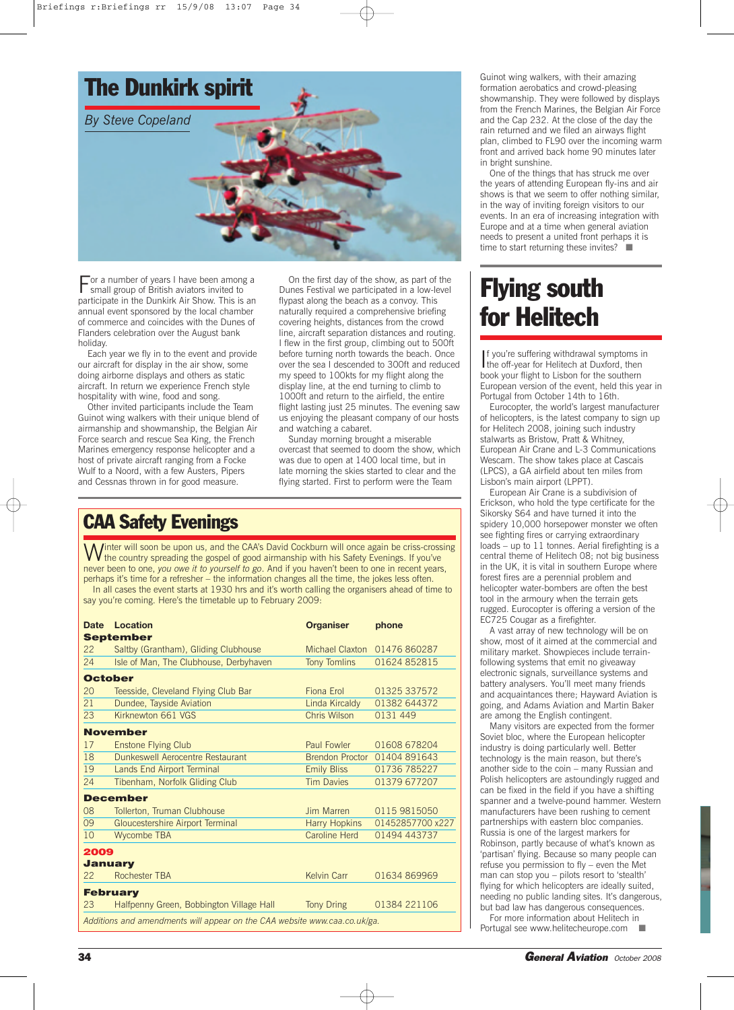

For <sup>a</sup> number of years <sup>I</sup> have been among <sup>a</sup> small group of British aviators invited to participate in the Dunkirk Air Show. This is an annual event sponsored by the local chamber of commerce and coincides with the Dunes of Flanders celebration over the August bank holiday.

Each year we fly in to the event and provide our aircraft for display in the air show, some doing airborne displays and others as static aircraft. In return we experience French style hospitality with wine, food and song.

Other invited participants include the Team Guinot wing walkers with their unique blend of airmanship and showmanship, the Belgian Air Force search and rescue Sea King, the French Marines emergency response helicopter and a host of private aircraft ranging from a Focke Wulf to a Noord, with a few Austers, Pipers and Cessnas thrown in for good measure.

On the first day of the show, as part of the Dunes Festival we participated in a low-level flypast along the beach as a convoy. This naturally required a comprehensive briefing covering heights, distances from the crowd line, aircraft separation distances and routing. I flew in the first group, climbing out to 500ft before turning north towards the beach. Once over the sea I descended to 300ft and reduced my speed to 100kts for my flight along the display line, at the end turning to climb to 1000ft and return to the airfield, the entire flight lasting just 25 minutes. The evening saw us enjoying the pleasant company of our hosts and watching a cabaret.

Sunday morning brought a miserable overcast that seemed to doom the show, which was due to open at 1400 local time, but in late morning the skies started to clear and the flying started. First to perform were the Team

### **CAA Safety Evenings**

Winter will soon be upon us, and the CAA's David Cockburn will once again be criss-crossing<br>Withe country spreading the gospel of good airmanship with his Safety Evenings. If you've never been to one, *you owe it to yourself to go*. And if you haven't been to one in recent years, perhaps it's time for a refresher – the information changes all the time, the jokes less often. In all cases the event starts at 1930 hrs and it's worth calling the organisers ahead of time to say you're coming. Here's the timetable up to February 2009:

| <b>Date</b>                                                               | Location                                 | <b>Organiser</b>       | phone            |
|---------------------------------------------------------------------------|------------------------------------------|------------------------|------------------|
| <b>September</b>                                                          |                                          |                        |                  |
| 22                                                                        | Saltby (Grantham), Gliding Clubhouse     | Michael Claxton        | 01476 860287     |
| 24                                                                        | Isle of Man, The Clubhouse, Derbyhaven   | <b>Tony Tomlins</b>    | 01624 852815     |
| <b>October</b>                                                            |                                          |                        |                  |
| 20                                                                        | Teesside, Cleveland Flying Club Bar      | Fiona Erol             | 01325 337572     |
| 21                                                                        | Dundee, Tayside Aviation                 | Linda Kircaldy         | 01382 644372     |
| 23                                                                        | Kirknewton 661 VGS                       | Chris Wilson           | 0131 449         |
|                                                                           | <b>November</b>                          |                        |                  |
| 17                                                                        | <b>Enstone Flying Club</b>               | <b>Paul Fowler</b>     | 01608 678204     |
| 18                                                                        | Dunkeswell Aerocentre Restaurant         | <b>Brendon Proctor</b> | 01404891643      |
| 19                                                                        | Lands End Airport Terminal               | <b>Emily Bliss</b>     | 01736 785227     |
| 24                                                                        | Tibenham, Norfolk Gliding Club           | <b>Tim Davies</b>      | 01379 677207     |
|                                                                           | <b>December</b>                          |                        |                  |
| 08                                                                        | Tollerton, Truman Clubhouse              | Jim Marren             | 0115 9815050     |
| 09                                                                        | <b>Gloucestershire Airport Terminal</b>  | <b>Harry Hopkins</b>   | 01452857700 x227 |
| 10                                                                        | <b>Wycombe TBA</b>                       | Caroline Herd          | 01494 443737     |
| 2009                                                                      |                                          |                        |                  |
| <b>January</b>                                                            |                                          |                        |                  |
| 22                                                                        | <b>Rochester TBA</b>                     | <b>Kelvin Carr</b>     | 01634 869969     |
| <b>February</b>                                                           |                                          |                        |                  |
| 23                                                                        | Halfpenny Green, Bobbington Village Hall | <b>Tony Dring</b>      | 01384 221106     |
| Additions and amendments will appear on the CAA website www.caa.co.uk/ga. |                                          |                        |                  |

Guinot wing walkers, with their amazing formation aerobatics and crowd-pleasing showmanship. They were followed by displays from the French Marines, the Belgian Air Force and the Cap 232. At the close of the day the rain returned and we filed an airways flight plan, climbed to FL90 over the incoming warm front and arrived back home 90 minutes later in bright sunshine.

One of the things that has struck me over the years of attending European fly-ins and air shows is that we seem to offer nothing similar, in the way of inviting foreign visitors to our events. In an era of increasing integration with Europe and at a time when general aviation needs to present a united front perhaps it is time to start returning these invites? ■

# **Flying south for Helitech**

If you're suffering withdrawal symptoms<br>the off-year for Helitech at Duxford, then f you're suffering withdrawal symptoms in book your flight to Lisbon for the southern European version of the event, held this year in Portugal from October 14th to 16th.

Eurocopter, the world's largest manufacturer of helicopters, is the latest company to sign up for Helitech 2008, joining such industry stalwarts as Bristow, Pratt & Whitney, European Air Crane and L-3 Communications Wescam. The show takes place at Cascais (LPCS), a GA airfield about ten miles from Lisbon's main airport (LPPT).

European Air Crane is a subdivision of Erickson, who hold the type certificate for the Sikorsky S64 and have turned it into the spidery 10,000 horsepower monster we often see fighting fires or carrying extraordinary loads – up to 11 tonnes. Aerial firefighting is a central theme of Helitech 08; not big business in the UK, it is vital in southern Europe where forest fires are a perennial problem and helicopter water-bombers are often the best tool in the armoury when the terrain gets rugged. Eurocopter is offering a version of the EC725 Cougar as a firefighter.

A vast array of new technology will be on show, most of it aimed at the commercial and military market. Showpieces include terrainfollowing systems that emit no giveaway electronic signals, surveillance systems and battery analysers. You'll meet many friends and acquaintances there; Hayward Aviation is going, and Adams Aviation and Martin Baker are among the English contingent.

Many visitors are expected from the former Soviet bloc, where the European helicopter industry is doing particularly well. Better technology is the main reason, but there's another side to the coin – many Russian and Polish helicopters are astoundingly rugged and can be fixed in the field if you have a shifting spanner and a twelve-pound hammer. Western manufacturers have been rushing to cement partnerships with eastern bloc companies. Russia is one of the largest markers for Robinson, partly because of what's known as 'partisan' flying. Because so many people can refuse you permission to fly – even the Met man can stop you – pilots resort to 'stealth' flying for which helicopters are ideally suited, needing no public landing sites. It's dangerous, but bad law has dangerous consequences.

For more information about Helitech in Portugal see www.helitecheurope.com ■